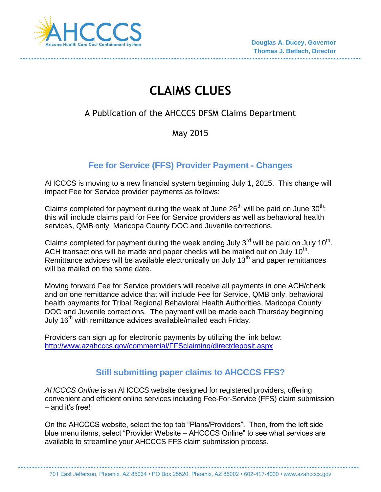

# **CLAIMS CLUES**

# A Publication of the AHCCCS DFSM Claims Department

### May 2015

## **Fee for Service (FFS) Provider Payment - Changes**

AHCCCS is moving to a new financial system beginning July 1, 2015. This change will impact Fee for Service provider payments as follows:

Claims completed for payment during the week of June  $26<sup>th</sup>$  will be paid on June  $30<sup>th</sup>$ ; this will include claims paid for Fee for Service providers as well as behavioral health services, QMB only, Maricopa County DOC and Juvenile corrections.

Claims completed for payment during the week ending July 3<sup>rd</sup> will be paid on July 10<sup>th</sup>. ACH transactions will be made and paper checks will be mailed out on July  $10<sup>th</sup>$ . Remittance advices will be available electronically on July  $13<sup>th</sup>$  and paper remittances will be mailed on the same date.

Moving forward Fee for Service providers will receive all payments in one ACH/check and on one remittance advice that will include Fee for Service, QMB only, behavioral health payments for Tribal Regional Behavioral Health Authorities, Maricopa County DOC and Juvenile corrections. The payment will be made each Thursday beginning July 16<sup>th</sup> with remittance advices available/mailed each Friday.

Providers can sign up for electronic payments by utilizing the link below: <http://www.azahcccs.gov/commercial/FFSclaiming/directdeposit.aspx>

## **Still submitting paper claims to AHCCCS FFS?**

*AHCCCS Online* is an AHCCCS website designed for registered providers, offering convenient and efficient online services including Fee-For-Service (FFS) claim submission – and it's free!

On the AHCCCS website, select the top tab "Plans/Providers". Then, from the left side blue menu items, select "Provider Website – AHCCCS Online" to see what services are available to streamline your AHCCCS FFS claim submission process.